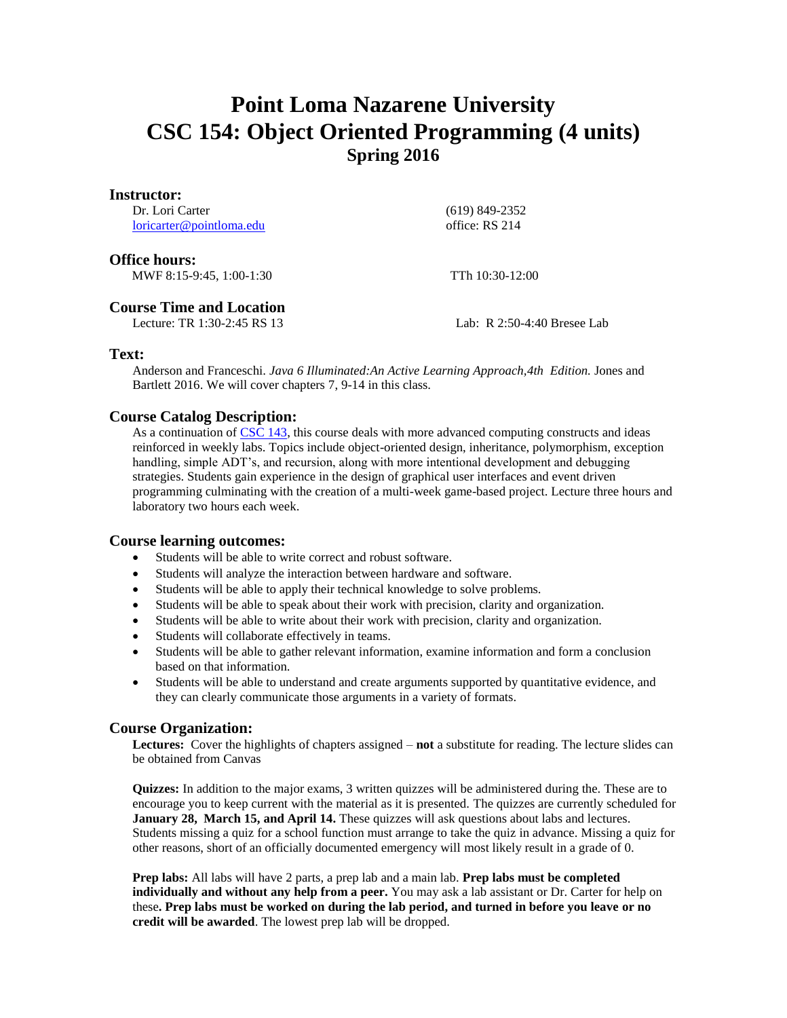# **Point Loma Nazarene University CSC 154: Object Oriented Programming (4 units) Spring 2016**

#### **Instructor:**

Dr. Lori Carter [loricarter@pointloma.edu](mailto:loricarter@pointloma.edu)  (619) 849-2352 office: RS 214

### **Office hours:**

MWF 8:15-9:45, 1:00-1:30 TTh 10:30-12:00

## **Course Time and Location**

Lecture: TR 1:30-2:45 RS 13 Lab: R 2:50-4:40 Bresee Lab

## **Text:**

Anderson and Franceschi. *Java 6 Illuminated:An Active Learning Approach,4th Edition.* Jones and Bartlett 2016. We will cover chapters 7, 9-14 in this class.

## **Course Catalog Description:**

As a continuation of [CSC 143,](http://catalog.pointloma.edu/preview_program.php?catoid=18&poid=931&returnto=1286#tt7532) this course deals with more advanced computing constructs and ideas reinforced in weekly labs. Topics include object-oriented design, inheritance, polymorphism, exception handling, simple ADT's, and recursion, along with more intentional development and debugging strategies. Students gain experience in the design of graphical user interfaces and event driven programming culminating with the creation of a multi-week game-based project. Lecture three hours and laboratory two hours each week.

## **Course learning outcomes:**

- Students will be able to write correct and robust software.
- Students will analyze the interaction between hardware and software.
- Students will be able to apply their technical knowledge to solve problems.
- Students will be able to speak about their work with precision, clarity and organization.
- Students will be able to write about their work with precision, clarity and organization.
- Students will collaborate effectively in teams.
- Students will be able to gather relevant information, examine information and form a conclusion based on that information.
- Students will be able to understand and create arguments supported by quantitative evidence, and they can clearly communicate those arguments in a variety of formats.

## **Course Organization:**

**Lectures:** Cover the highlights of chapters assigned – **not** a substitute for reading. The lecture slides can be obtained from Canvas

**Quizzes:** In addition to the major exams, 3 written quizzes will be administered during the. These are to encourage you to keep current with the material as it is presented. The quizzes are currently scheduled for **January 28, March 15, and April 14.** These quizzes will ask questions about labs and lectures. Students missing a quiz for a school function must arrange to take the quiz in advance. Missing a quiz for other reasons, short of an officially documented emergency will most likely result in a grade of 0.

**Prep labs:** All labs will have 2 parts, a prep lab and a main lab. **Prep labs must be completed individually and without any help from a peer.** You may ask a lab assistant or Dr. Carter for help on these**. Prep labs must be worked on during the lab period, and turned in before you leave or no credit will be awarded**. The lowest prep lab will be dropped.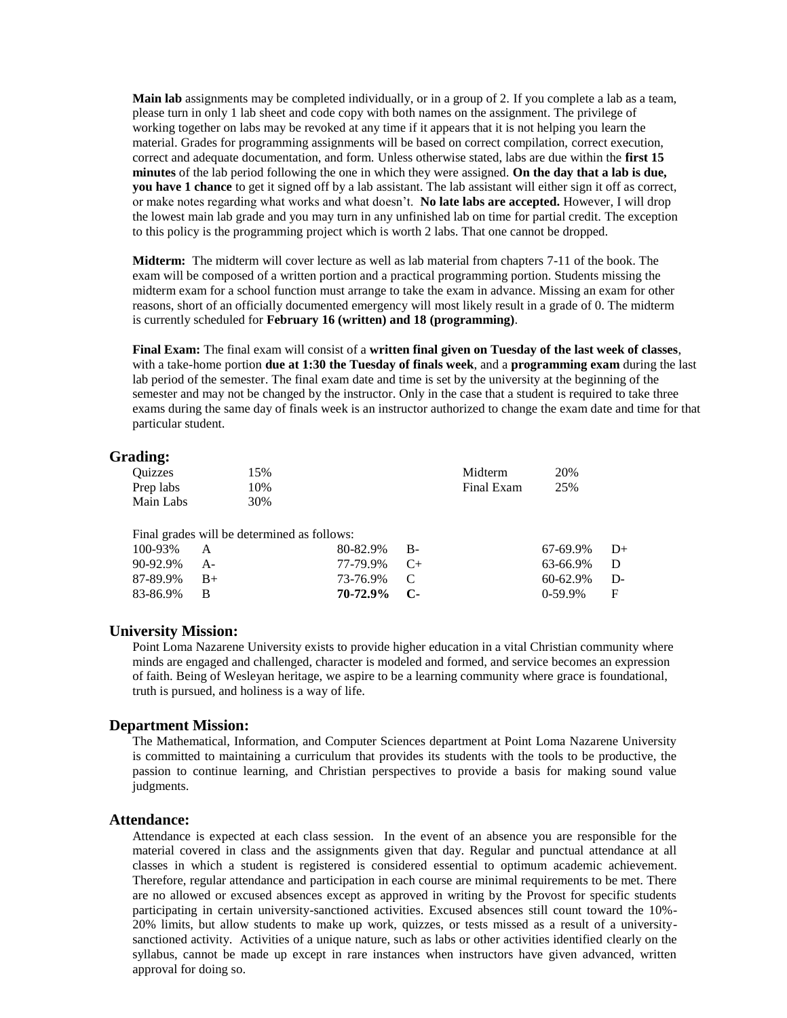**Main lab** assignments may be completed individually, or in a group of 2. If you complete a lab as a team, please turn in only 1 lab sheet and code copy with both names on the assignment. The privilege of working together on labs may be revoked at any time if it appears that it is not helping you learn the material. Grades for programming assignments will be based on correct compilation, correct execution, correct and adequate documentation, and form. Unless otherwise stated, labs are due within the **first 15 minutes** of the lab period following the one in which they were assigned. **On the day that a lab is due, you have 1 chance** to get it signed off by a lab assistant. The lab assistant will either sign it off as correct, or make notes regarding what works and what doesn't. **No late labs are accepted.** However, I will drop the lowest main lab grade and you may turn in any unfinished lab on time for partial credit. The exception to this policy is the programming project which is worth 2 labs. That one cannot be dropped.

**Midterm:** The midterm will cover lecture as well as lab material from chapters 7-11 of the book. The exam will be composed of a written portion and a practical programming portion. Students missing the midterm exam for a school function must arrange to take the exam in advance. Missing an exam for other reasons, short of an officially documented emergency will most likely result in a grade of 0. The midterm is currently scheduled for **February 16 (written) and 18 (programming)**.

**Final Exam:** The final exam will consist of a **written final given on Tuesday of the last week of classes**, with a take-home portion **due at 1:30 the Tuesday of finals week**, and a **programming exam** during the last lab period of the semester. The final exam date and time is set by the university at the beginning of the semester and may not be changed by the instructor. Only in the case that a student is required to take three exams during the same day of finals week is an instructor authorized to change the exam date and time for that particular student.

#### **Grading:**

| <b>Ouizzes</b> |      | 15%                                         |          |           | Midterm    | 20%      |      |
|----------------|------|---------------------------------------------|----------|-----------|------------|----------|------|
| Prep labs      |      | 10%                                         |          |           | Final Exam | 25%      |      |
| Main Labs      |      | 30%                                         |          |           |            |          |      |
|                |      |                                             |          |           |            |          |      |
|                |      | Final grades will be determined as follows: |          |           |            |          |      |
| 100-93%        | А    |                                             | 80-82.9% | В-        |            | 67-69.9% | $D+$ |
| 90-92.9%       | A-   |                                             | 77-79.9% | $C_{\pm}$ |            | 63-66.9% | D    |
| 87-89.9%       | $B+$ |                                             | 73-76.9% |           |            | 60-62.9% | D-   |

**70-72.9% C-**

#### **University Mission:**

83-86.9% B

Point Loma Nazarene University exists to provide higher education in a vital Christian community where minds are engaged and challenged, character is modeled and formed, and service becomes an expression of faith. Being of Wesleyan heritage, we aspire to be a learning community where grace is foundational, truth is pursued, and holiness is a way of life.

0-59.9% F

#### **Department Mission:**

The Mathematical, Information, and Computer Sciences department at Point Loma Nazarene University is committed to maintaining a curriculum that provides its students with the tools to be productive, the passion to continue learning, and Christian perspectives to provide a basis for making sound value judgments.

#### **Attendance:**

Attendance is expected at each class session. In the event of an absence you are responsible for the material covered in class and the assignments given that day. Regular and punctual attendance at all classes in which a student is registered is considered essential to optimum academic achievement. Therefore, regular attendance and participation in each course are minimal requirements to be met. There are no allowed or excused absences except as approved in writing by the Provost for specific students participating in certain university-sanctioned activities. Excused absences still count toward the 10%- 20% limits, but allow students to make up work, quizzes, or tests missed as a result of a universitysanctioned activity. Activities of a unique nature, such as labs or other activities identified clearly on the syllabus, cannot be made up except in rare instances when instructors have given advanced, written approval for doing so.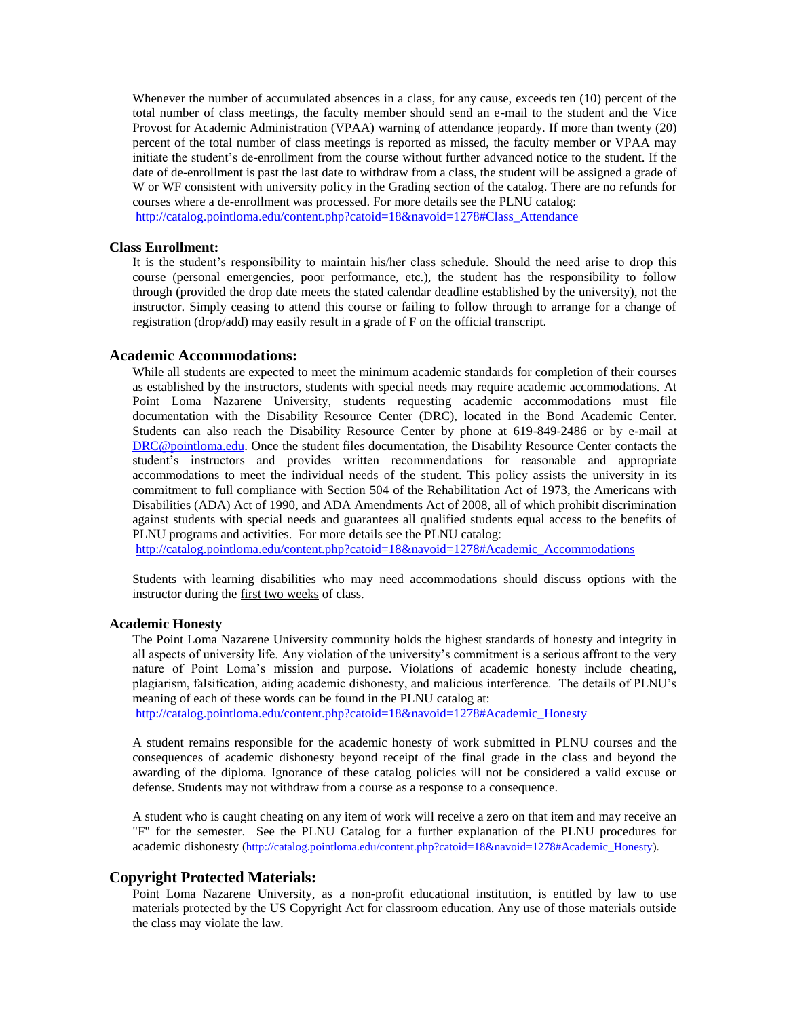Whenever the number of accumulated absences in a class, for any cause, exceeds ten (10) percent of the total number of class meetings, the faculty member should send an e-mail to the student and the Vice Provost for Academic Administration (VPAA) warning of attendance jeopardy. If more than twenty (20) percent of the total number of class meetings is reported as missed, the faculty member or VPAA may initiate the student's de-enrollment from the course without further advanced notice to the student. If the date of de-enrollment is past the last date to withdraw from a class, the student will be assigned a grade of W or WF consistent with university policy in the Grading section of the catalog. There are no refunds for courses where a de-enrollment was processed. For more details see the PLNU catalog:

[http://catalog.pointloma.edu/content.php?catoid=18&navoid=1278#Class\\_Attendance](http://catalog.pointloma.edu/content.php?catoid=18&navoid=1278#Class_Attendance)

#### **Class Enrollment:**

It is the student's responsibility to maintain his/her class schedule. Should the need arise to drop this course (personal emergencies, poor performance, etc.), the student has the responsibility to follow through (provided the drop date meets the stated calendar deadline established by the university), not the instructor. Simply ceasing to attend this course or failing to follow through to arrange for a change of registration (drop/add) may easily result in a grade of F on the official transcript.

#### **Academic Accommodations:**

While all students are expected to meet the minimum academic standards for completion of their courses as established by the instructors, students with special needs may require academic accommodations. At Point Loma Nazarene University, students requesting academic accommodations must file documentation with the Disability Resource Center (DRC), located in the Bond Academic Center. Students can also reach the Disability Resource Center by phone at 619-849-2486 or by e-mail at [DRC@pointloma.edu.](mailto:DRC@pointloma.edu) Once the student files documentation, the Disability Resource Center contacts the student's instructors and provides written recommendations for reasonable and appropriate accommodations to meet the individual needs of the student. This policy assists the university in its commitment to full compliance with Section 504 of the Rehabilitation Act of 1973, the Americans with Disabilities (ADA) Act of 1990, and ADA Amendments Act of 2008, all of which prohibit discrimination against students with special needs and guarantees all qualified students equal access to the benefits of PLNU programs and activities. For more details see the PLNU catalog:

http://catalog.pointloma.edu/content.php?catoid=18&navoid=1278#Academic\_Accommodations

Students with learning disabilities who may need accommodations should discuss options with the instructor during the first two weeks of class.

#### **Academic Honesty**

The Point Loma Nazarene University community holds the highest standards of honesty and integrity in all aspects of university life. Any violation of the university's commitment is a serious affront to the very nature of Point Loma's mission and purpose. Violations of academic honesty include cheating, plagiarism, falsification, aiding academic dishonesty, and malicious interference. The details of PLNU's meaning of each of these words can be found in the PLNU catalog at:

[http://catalog.pointloma.edu/content.php?catoid=18&navoid=1278#Academic\\_Honesty](http://catalog.pointloma.edu/content.php?catoid=18&navoid=1278#Academic_Honesty)

A student remains responsible for the academic honesty of work submitted in PLNU courses and the consequences of academic dishonesty beyond receipt of the final grade in the class and beyond the awarding of the diploma. Ignorance of these catalog policies will not be considered a valid excuse or defense. Students may not withdraw from a course as a response to a consequence.

A student who is caught cheating on any item of work will receive a zero on that item and may receive an "F" for the semester. See the PLNU Catalog for a further explanation of the PLNU procedures for academic dishonesty [\(http://catalog.pointloma.edu/content.php?catoid=18&navoid=1278#Academic\\_Honesty\)](http://catalog.pointloma.edu/content.php?catoid=18&navoid=1278#Academic_Honesty).

#### **Copyright Protected Materials:**

Point Loma Nazarene University, as a non-profit educational institution, is entitled by law to use materials protected by the US Copyright Act for classroom education. Any use of those materials outside the class may violate the law.